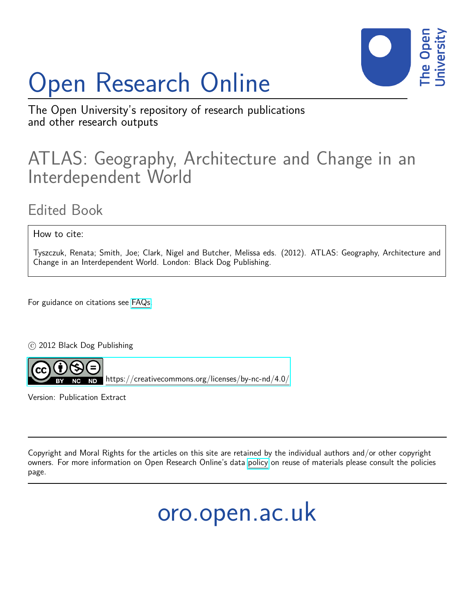# Open Research Online



The Open University's repository of research publications and other research outputs

## ATLAS: Geography, Architecture and Change in an Interdependent World

### Edited Book

How to cite:

Tyszczuk, Renata; Smith, Joe; Clark, Nigel and Butcher, Melissa eds. (2012). ATLAS: Geography, Architecture and Change in an Interdependent World. London: Black Dog Publishing.

For guidance on citations see [FAQs.](http://oro.open.ac.uk/help/helpfaq.html)

c 2012 Black Dog Publishing



<https://creativecommons.org/licenses/by-nc-nd/4.0/>

Version: Publication Extract

Copyright and Moral Rights for the articles on this site are retained by the individual authors and/or other copyright owners. For more information on Open Research Online's data [policy](http://oro.open.ac.uk/policies.html) on reuse of materials please consult the policies page.

## oro.open.ac.uk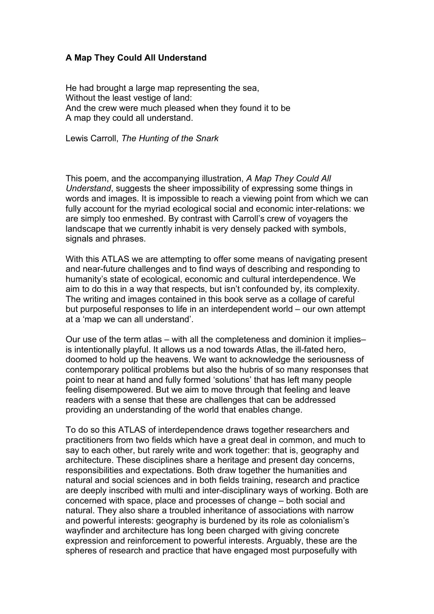#### **A Map They Could All Understand**

He had brought a large map representing the sea, Without the least vestige of land: And the crew were much pleased when they found it to be A map they could all understand.

Lewis Carroll, *The Hunting of the Snark*

This poem, and the accompanying illustration, *A Map They Could All Understand*, suggests the sheer impossibility of expressing some things in words and images. It is impossible to reach a viewing point from which we can fully account for the myriad ecological social and economic inter-relations: we are simply too enmeshed. By contrast with Carroll's crew of voyagers the landscape that we currently inhabit is very densely packed with symbols, signals and phrases.

With this ATLAS we are attempting to offer some means of navigating present and near-future challenges and to find ways of describing and responding to humanity's state of ecological, economic and cultural interdependence. We aim to do this in a way that respects, but isn't confounded by, its complexity. The writing and images contained in this book serve as a collage of careful but purposeful responses to life in an interdependent world – our own attempt at a 'map we can all understand'.

Our use of the term atlas – with all the completeness and dominion it implies– is intentionally playful. It allows us a nod towards Atlas, the ill-fated hero, doomed to hold up the heavens. We want to acknowledge the seriousness of contemporary political problems but also the hubris of so many responses that point to near at hand and fully formed 'solutions' that has left many people feeling disempowered. But we aim to move through that feeling and leave readers with a sense that these are challenges that can be addressed providing an understanding of the world that enables change.

To do so this ATLAS of interdependence draws together researchers and practitioners from two fields which have a great deal in common, and much to say to each other, but rarely write and work together: that is, geography and architecture. These disciplines share a heritage and present day concerns, responsibilities and expectations. Both draw together the humanities and natural and social sciences and in both fields training, research and practice are deeply inscribed with multi and inter-disciplinary ways of working. Both are concerned with space, place and processes of change – both social and natural. They also share a troubled inheritance of associations with narrow and powerful interests: geography is burdened by its role as colonialism's wayfinder and architecture has long been charged with giving concrete expression and reinforcement to powerful interests. Arguably, these are the spheres of research and practice that have engaged most purposefully with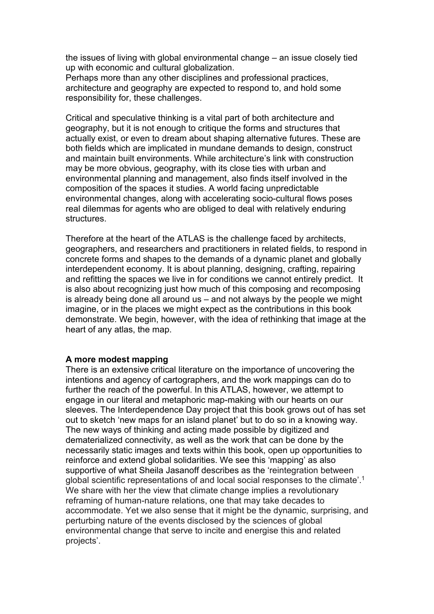the issues of living with global environmental change – an issue closely tied up with economic and cultural globalization.

Perhaps more than any other disciplines and professional practices, architecture and geography are expected to respond to, and hold some responsibility for, these challenges.

Critical and speculative thinking is a vital part of both architecture and geography, but it is not enough to critique the forms and structures that actually exist, or even to dream about shaping alternative futures. These are both fields which are implicated in mundane demands to design, construct and maintain built environments. While architecture's link with construction may be more obvious, geography, with its close ties with urban and environmental planning and management, also finds itself involved in the composition of the spaces it studies. A world facing unpredictable environmental changes, along with accelerating socio-cultural flows poses real dilemmas for agents who are obliged to deal with relatively enduring structures.

Therefore at the heart of the ATLAS is the challenge faced by architects, geographers, and researchers and practitioners in related fields, to respond in concrete forms and shapes to the demands of a dynamic planet and globally interdependent economy. It is about planning, designing, crafting, repairing and refitting the spaces we live in for conditions we cannot entirely predict. It is also about recognizing just how much of this composing and recomposing is already being done all around us – and not always by the people we might imagine, or in the places we might expect as the contributions in this book demonstrate. We begin, however, with the idea of rethinking that image at the heart of any atlas, the map.

#### **A more modest mapping**

There is an extensive critical literature on the importance of uncovering the intentions and agency of cartographers, and the work mappings can do to further the reach of the powerful. In this ATLAS, however, we attempt to engage in our literal and metaphoric map-making with our hearts on our sleeves. The Interdependence Day project that this book grows out of has set out to sketch 'new maps for an island planet' but to do so in a knowing way. The new ways of thinking and acting made possible by digitized and dematerialized connectivity, as well as the work that can be done by the necessarily static images and texts within this book, open up opportunities to reinforce and extend global solidarities. We see this 'mapping' as also supportive of what Sheila Jasanoff describes as the 'reintegration between global scientific representations of and local social responses to the climate'.1 We share with her the view that climate change implies a revolutionary reframing of human-nature relations, one that may take decades to accommodate. Yet we also sense that it might be the dynamic, surprising, and perturbing nature of the events disclosed by the sciences of global environmental change that serve to incite and energise this and related projects'.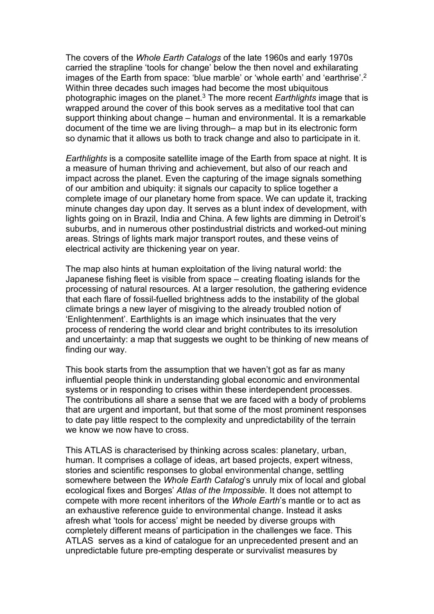The covers of the *Whole Earth Catalogs* of the late 1960s and early 1970s carried the strapline 'tools for change' below the then novel and exhilarating images of the Earth from space: 'blue marble' or 'whole earth' and 'earthrise'. 2 Within three decades such images had become the most ubiquitous photographic images on the planet. <sup>3</sup> The more recent *Earthlights* image that is wrapped around the cover of this book serves as a meditative tool that can support thinking about change – human and environmental. It is a remarkable document of the time we are living through– a map but in its electronic form so dynamic that it allows us both to track change and also to participate in it.

*Earthlights* is a composite satellite image of the Earth from space at night. It is a measure of human thriving and achievement, but also of our reach and impact across the planet. Even the capturing of the image signals something of our ambition and ubiquity: it signals our capacity to splice together a complete image of our planetary home from space. We can update it, tracking minute changes day upon day. It serves as a blunt index of development, with lights going on in Brazil, India and China. A few lights are dimming in Detroit's suburbs, and in numerous other postindustrial districts and worked-out mining areas. Strings of lights mark major transport routes, and these veins of electrical activity are thickening year on year.

The map also hints at human exploitation of the living natural world: the Japanese fishing fleet is visible from space – creating floating islands for the processing of natural resources. At a larger resolution, the gathering evidence that each flare of fossil-fuelled brightness adds to the instability of the global climate brings a new layer of misgiving to the already troubled notion of 'Enlightenment'. Earthlights is an image which insinuates that the very process of rendering the world clear and bright contributes to its irresolution and uncertainty: a map that suggests we ought to be thinking of new means of finding our way.

This book starts from the assumption that we haven't got as far as many influential people think in understanding global economic and environmental systems or in responding to crises within these interdependent processes. The contributions all share a sense that we are faced with a body of problems that are urgent and important, but that some of the most prominent responses to date pay little respect to the complexity and unpredictability of the terrain we know we now have to cross.

This ATLAS is characterised by thinking across scales: planetary, urban, human. It comprises a collage of ideas, art based projects, expert witness, stories and scientific responses to global environmental change, settling somewhere between the *Whole Earth Catalog*'s unruly mix of local and global ecological fixes and Borges' *Atlas of the Impossible*. It does not attempt to compete with more recent inheritors of the *Whole Earth*'s mantle or to act as an exhaustive reference guide to environmental change. Instead it asks afresh what 'tools for access' might be needed by diverse groups with completely different means of participation in the challenges we face. This ATLAS serves as a kind of catalogue for an unprecedented present and an unpredictable future pre-empting desperate or survivalist measures by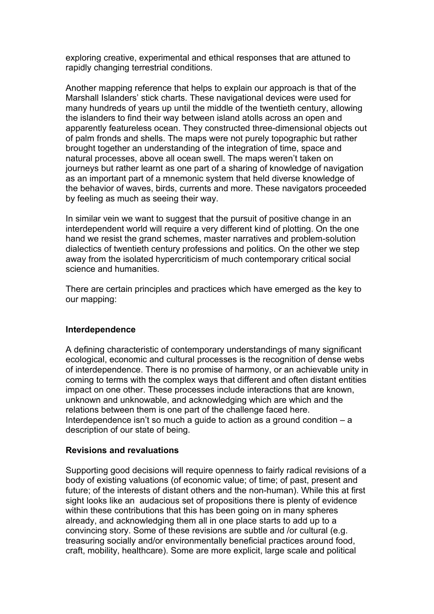exploring creative, experimental and ethical responses that are attuned to rapidly changing terrestrial conditions.

Another mapping reference that helps to explain our approach is that of the Marshall Islanders' stick charts. These navigational devices were used for many hundreds of years up until the middle of the twentieth century, allowing the islanders to find their way between island atolls across an open and apparently featureless ocean. They constructed three-dimensional objects out of palm fronds and shells. The maps were not purely topographic but rather brought together an understanding of the integration of time, space and natural processes, above all ocean swell. The maps weren't taken on journeys but rather learnt as one part of a sharing of knowledge of navigation as an important part of a mnemonic system that held diverse knowledge of the behavior of waves, birds, currents and more. These navigators proceeded by feeling as much as seeing their way.

In similar vein we want to suggest that the pursuit of positive change in an interdependent world will require a very different kind of plotting. On the one hand we resist the grand schemes, master narratives and problem-solution dialectics of twentieth century professions and politics. On the other we step away from the isolated hypercriticism of much contemporary critical social science and humanities.

There are certain principles and practices which have emerged as the key to our mapping:

#### **Interdependence**

A defining characteristic of contemporary understandings of many significant ecological, economic and cultural processes is the recognition of dense webs of interdependence. There is no promise of harmony, or an achievable unity in coming to terms with the complex ways that different and often distant entities impact on one other. These processes include interactions that are known, unknown and unknowable, and acknowledging which are which and the relations between them is one part of the challenge faced here. Interdependence isn't so much a guide to action as a ground condition  $- a$ description of our state of being.

#### **Revisions and revaluations**

Supporting good decisions will require openness to fairly radical revisions of a body of existing valuations (of economic value; of time; of past, present and future; of the interests of distant others and the non-human). While this at first sight looks like an audacious set of propositions there is plenty of evidence within these contributions that this has been going on in many spheres already, and acknowledging them all in one place starts to add up to a convincing story. Some of these revisions are subtle and /or cultural (e.g. treasuring socially and/or environmentally beneficial practices around food, craft, mobility, healthcare). Some are more explicit, large scale and political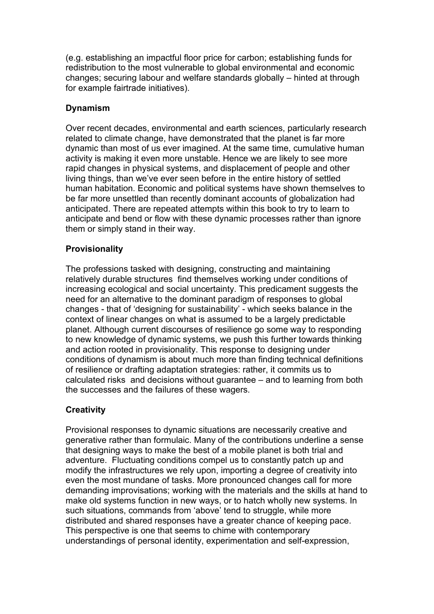(e.g. establishing an impactful floor price for carbon; establishing funds for redistribution to the most vulnerable to global environmental and economic changes; securing labour and welfare standards globally – hinted at through for example fairtrade initiatives).

#### **Dynamism**

Over recent decades, environmental and earth sciences, particularly research related to climate change, have demonstrated that the planet is far more dynamic than most of us ever imagined. At the same time, cumulative human activity is making it even more unstable. Hence we are likely to see more rapid changes in physical systems, and displacement of people and other living things, than we've ever seen before in the entire history of settled human habitation. Economic and political systems have shown themselves to be far more unsettled than recently dominant accounts of globalization had anticipated. There are repeated attempts within this book to try to learn to anticipate and bend or flow with these dynamic processes rather than ignore them or simply stand in their way.

#### **Provisionality**

The professions tasked with designing, constructing and maintaining relatively durable structures find themselves working under conditions of increasing ecological and social uncertainty. This predicament suggests the need for an alternative to the dominant paradigm of responses to global changes - that of 'designing for sustainability' - which seeks balance in the context of linear changes on what is assumed to be a largely predictable planet. Although current discourses of resilience go some way to responding to new knowledge of dynamic systems, we push this further towards thinking and action rooted in provisionality. This response to designing under conditions of dynamism is about much more than finding technical definitions of resilience or drafting adaptation strategies: rather, it commits us to calculated risks and decisions without guarantee – and to learning from both the successes and the failures of these wagers.

#### **Creativity**

Provisional responses to dynamic situations are necessarily creative and generative rather than formulaic. Many of the contributions underline a sense that designing ways to make the best of a mobile planet is both trial and adventure. Fluctuating conditions compel us to constantly patch up and modify the infrastructures we rely upon, importing a degree of creativity into even the most mundane of tasks. More pronounced changes call for more demanding improvisations; working with the materials and the skills at hand to make old systems function in new ways, or to hatch wholly new systems. In such situations, commands from 'above' tend to struggle, while more distributed and shared responses have a greater chance of keeping pace. This perspective is one that seems to chime with contemporary understandings of personal identity, experimentation and self-expression,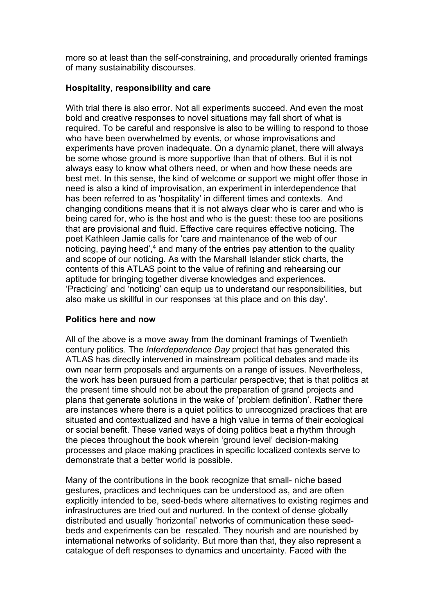more so at least than the self-constraining, and procedurally oriented framings of many sustainability discourses.

#### **Hospitality, responsibility and care**

With trial there is also error. Not all experiments succeed. And even the most bold and creative responses to novel situations may fall short of what is required. To be careful and responsive is also to be willing to respond to those who have been overwhelmed by events, or whose improvisations and experiments have proven inadequate. On a dynamic planet, there will always be some whose ground is more supportive than that of others. But it is not always easy to know what others need, or when and how these needs are best met. In this sense, the kind of welcome or support we might offer those in need is also a kind of improvisation, an experiment in interdependence that has been referred to as 'hospitality' in different times and contexts. And changing conditions means that it is not always clear who is carer and who is being cared for, who is the host and who is the guest: these too are positions that are provisional and fluid. Effective care requires effective noticing. The poet Kathleen Jamie calls for 'care and maintenance of the web of our noticing, paying heed',<sup>4</sup> and many of the entries pay attention to the quality and scope of our noticing. As with the Marshall Islander stick charts, the contents of this ATLAS point to the value of refining and rehearsing our aptitude for bringing together diverse knowledges and experiences. 'Practicing' and 'noticing' can equip us to understand our responsibilities, but also make us skillful in our responses 'at this place and on this day'.

#### **Politics here and now**

All of the above is a move away from the dominant framings of Twentieth century politics. The *Interdependence Day* project that has generated this ATLAS has directly intervened in mainstream political debates and made its own near term proposals and arguments on a range of issues. Nevertheless, the work has been pursued from a particular perspective; that is that politics at the present time should not be about the preparation of grand projects and plans that generate solutions in the wake of 'problem definition'. Rather there are instances where there is a quiet politics to unrecognized practices that are situated and contextualized and have a high value in terms of their ecological or social benefit. These varied ways of doing politics beat a rhythm through the pieces throughout the book wherein 'ground level' decision-making processes and place making practices in specific localized contexts serve to demonstrate that a better world is possible.

Many of the contributions in the book recognize that small- niche based gestures, practices and techniques can be understood as, and are often explicitly intended to be, seed-beds where alternatives to existing regimes and infrastructures are tried out and nurtured. In the context of dense globally distributed and usually 'horizontal' networks of communication these seedbeds and experiments can be rescaled. They nourish and are nourished by international networks of solidarity. But more than that, they also represent a catalogue of deft responses to dynamics and uncertainty. Faced with the